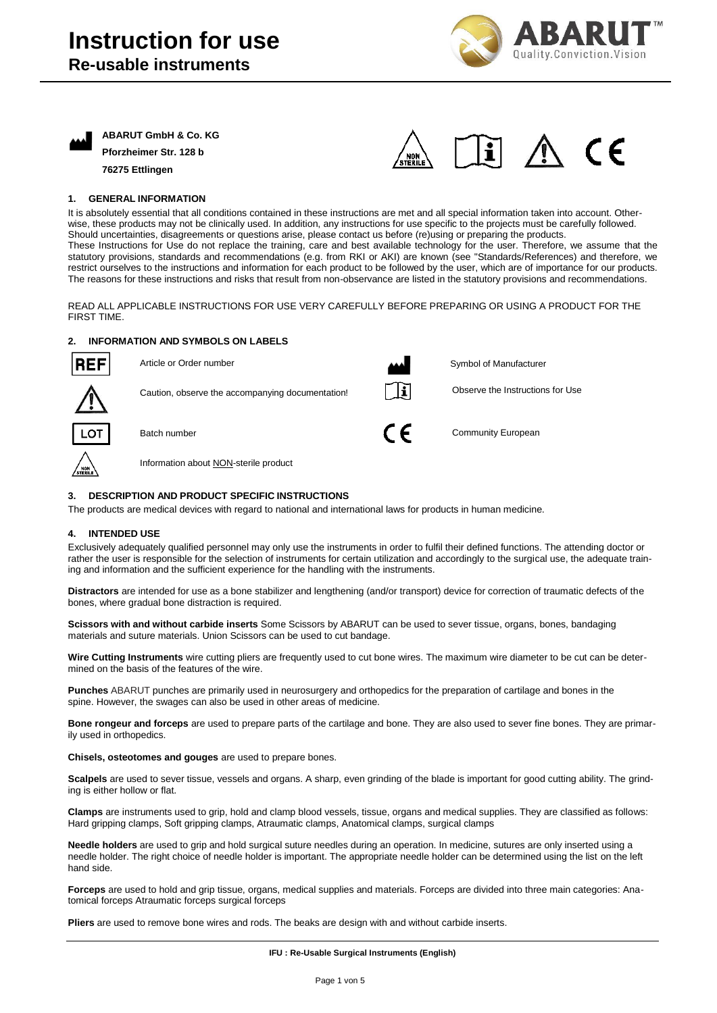



**ABARUT GmbH & Co. KG Pforzheimer Str. 128 b 76275 Ettlingen**



# **1. GENERAL INFORMATION**

It is absolutely essential that all conditions contained in these instructions are met and all special information taken into account. Otherwise, these products may not be clinically used. In addition, any instructions for use specific to the projects must be carefully followed. Should uncertainties, disagreements or questions arise, please contact us before (re)using or preparing the products. These Instructions for Use do not replace the training, care and best available technology for the user. Therefore, we assume that the statutory provisions, standards and recommendations (e.g. from RKI or AKI) are known (see "Standards/References) and therefore, we restrict ourselves to the instructions and information for each product to be followed by the user, which are of importance for our products. The reasons for these instructions and risks that result from non-observance are listed in the statutory provisions and recommendations.

READ ALL APPLICABLE INSTRUCTIONS FOR USE VERY CAREFULLY BEFORE PREPARING OR USING A PRODUCT FOR THE FIRST TIME.

# **2. INFORMATION AND SYMBOLS ON LABELS**



דם ו

Article or Order number Caution, observe the accompanying documentation! Batch number Symbol of Manufacturer Observe the Instructions for Use Community European

Information about NON-sterile product

# **3. DESCRIPTION AND PRODUCT SPECIFIC INSTRUCTIONS**

The products are medical devices with regard to national and international laws for products in human medicine.

#### **4. INTENDED USE**

Exclusively adequately qualified personnel may only use the instruments in order to fulfil their defined functions. The attending doctor or rather the user is responsible for the selection of instruments for certain utilization and accordingly to the surgical use, the adequate training and information and the sufficient experience for the handling with the instruments.

**Distractors** are intended for use as a bone stabilizer and lengthening (and/or transport) device for correction of traumatic defects of the bones, where gradual bone distraction is required.

**Scissors with and without carbide inserts** Some Scissors by ABARUT can be used to sever tissue, organs, bones, bandaging materials and suture materials. Union Scissors can be used to cut bandage.

**Wire Cutting Instruments** wire cutting pliers are frequently used to cut bone wires. The maximum wire diameter to be cut can be determined on the basis of the features of the wire.

**Punches** ABARUT punches are primarily used in neurosurgery and orthopedics for the preparation of cartilage and bones in the spine. However, the swages can also be used in other areas of medicine.

**Bone rongeur and forceps** are used to prepare parts of the cartilage and bone. They are also used to sever fine bones. They are primarily used in orthopedics.

**Chisels, osteotomes and gouges** are used to prepare bones.

**Scalpels** are used to sever tissue, vessels and organs. A sharp, even grinding of the blade is important for good cutting ability. The grinding is either hollow or flat.

**Clamps** are instruments used to grip, hold and clamp blood vessels, tissue, organs and medical supplies. They are classified as follows: Hard gripping clamps, Soft gripping clamps, Atraumatic clamps, Anatomical clamps, surgical clamps

**Needle holders** are used to grip and hold surgical suture needles during an operation. In medicine, sutures are only inserted using a needle holder. The right choice of needle holder is important. The appropriate needle holder can be determined using the list on the left hand side.

**Forceps** are used to hold and grip tissue, organs, medical supplies and materials. Forceps are divided into three main categories: Anatomical forceps Atraumatic forceps surgical forceps

**Pliers** are used to remove bone wires and rods. The beaks are design with and without carbide inserts.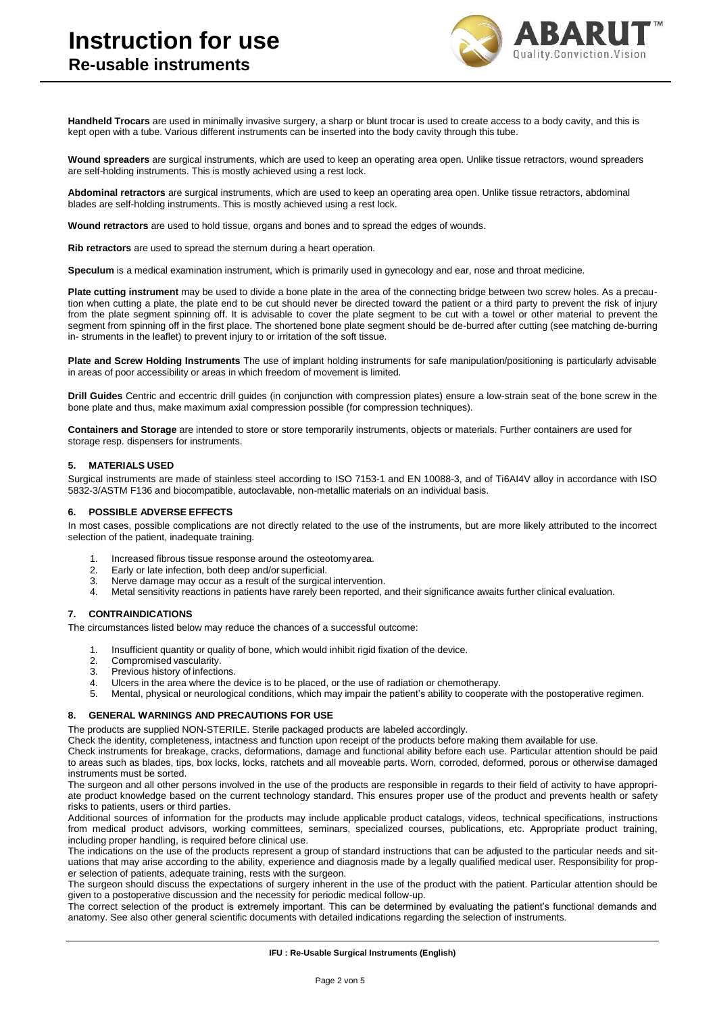

**Handheld Trocars** are used in minimally invasive surgery, a sharp or blunt trocar is used to create access to a body cavity, and this is kept open with a tube. Various different instruments can be inserted into the body cavity through this tube.

**Wound spreaders** are surgical instruments, which are used to keep an operating area open. Unlike tissue retractors, wound spreaders are self-holding instruments. This is mostly achieved using a rest lock.

**Abdominal retractors** are surgical instruments, which are used to keep an operating area open. Unlike tissue retractors, abdominal blades are self-holding instruments. This is mostly achieved using a rest lock.

**Wound retractors** are used to hold tissue, organs and bones and to spread the edges of wounds.

**Rib retractors** are used to spread the sternum during a heart operation.

**Speculum** is a medical examination instrument, which is primarily used in gynecology and ear, nose and throat medicine.

**Plate cutting instrument** may be used to divide a bone plate in the area of the connecting bridge between two screw holes. As a precaution when cutting a plate, the plate end to be cut should never be directed toward the patient or a third party to prevent the risk of injury from the plate segment spinning off. It is advisable to cover the plate segment to be cut with a towel or other material to prevent the segment from spinning off in the first place. The shortened bone plate segment should be de-burred after cutting (see matching de-burring in- struments in the leaflet) to prevent injury to or irritation of the soft tissue.

**Plate and Screw Holding Instruments** The use of implant holding instruments for safe manipulation/positioning is particularly advisable in areas of poor accessibility or areas in which freedom of movement is limited.

**Drill Guides** Centric and eccentric drill guides (in conjunction with compression plates) ensure a low-strain seat of the bone screw in the bone plate and thus, make maximum axial compression possible (for compression techniques).

**Containers and Storage** are intended to store or store temporarily instruments, objects or materials. Further containers are used for storage resp. dispensers for instruments.

### **5. MATERIALS USED**

Surgical instruments are made of stainless steel according to ISO 7153-1 and EN 10088-3, and of Ti6AI4V alloy in accordance with ISO 5832-3/ASTM F136 and biocompatible, autoclavable, non-metallic materials on an individual basis.

#### **6. POSSIBLE ADVERSE EFFECTS**

In most cases, possible complications are not directly related to the use of the instruments, but are more likely attributed to the incorrect selection of the patient, inadequate training.

- 1. Increased fibrous tissue response around the osteotomy area.<br>2. Early or late infection, both deep and/or superficial.
- 2. Early or late infection, both deep and/or superficial.
- Nerve damage may occur as a result of the surgical intervention.
- 4. Metal sensitivity reactions in patients have rarely been reported, and their significance awaits further clinical evaluation.

#### **7. CONTRAINDICATIONS**

The circumstances listed below may reduce the chances of a successful outcome:

- 1. Insufficient quantity or quality of bone, which would inhibit rigid fixation of the device.
- 2. Compromised vascularity.
- 3. Previous history of infections.
- 4. Ulcers in the area where the device is to be placed, or the use of radiation or chemotherapy.
- 5. Mental, physical or neurological conditions, which may impair the patient's ability to cooperate with the postoperative regimen.

### **8. GENERAL WARNINGS AND PRECAUTIONS FOR USE**

The products are supplied NON-STERILE. Sterile packaged products are labeled accordingly.

Check the identity, completeness, intactness and function upon receipt of the products before making them available for use.

Check instruments for breakage, cracks, deformations, damage and functional ability before each use. Particular attention should be paid to areas such as blades, tips, box locks, locks, ratchets and all moveable parts. Worn, corroded, deformed, porous or otherwise damaged instruments must be sorted.

The surgeon and all other persons involved in the use of the products are responsible in regards to their field of activity to have appropriate product knowledge based on the current technology standard. This ensures proper use of the product and prevents health or safety risks to patients, users or third parties.

Additional sources of information for the products may include applicable product catalogs, videos, technical specifications, instructions from medical product advisors, working committees, seminars, specialized courses, publications, etc. Appropriate product training, including proper handling, is required before clinical use.

The indications on the use of the products represent a group of standard instructions that can be adjusted to the particular needs and situations that may arise according to the ability, experience and diagnosis made by a legally qualified medical user. Responsibility for proper selection of patients, adequate training, rests with the surgeon.

The surgeon should discuss the expectations of surgery inherent in the use of the product with the patient. Particular attention should be given to a postoperative discussion and the necessity for periodic medical follow-up.

The correct selection of the product is extremely important. This can be determined by evaluating the patient's functional demands and anatomy. See also other general scientific documents with detailed indications regarding the selection of instruments.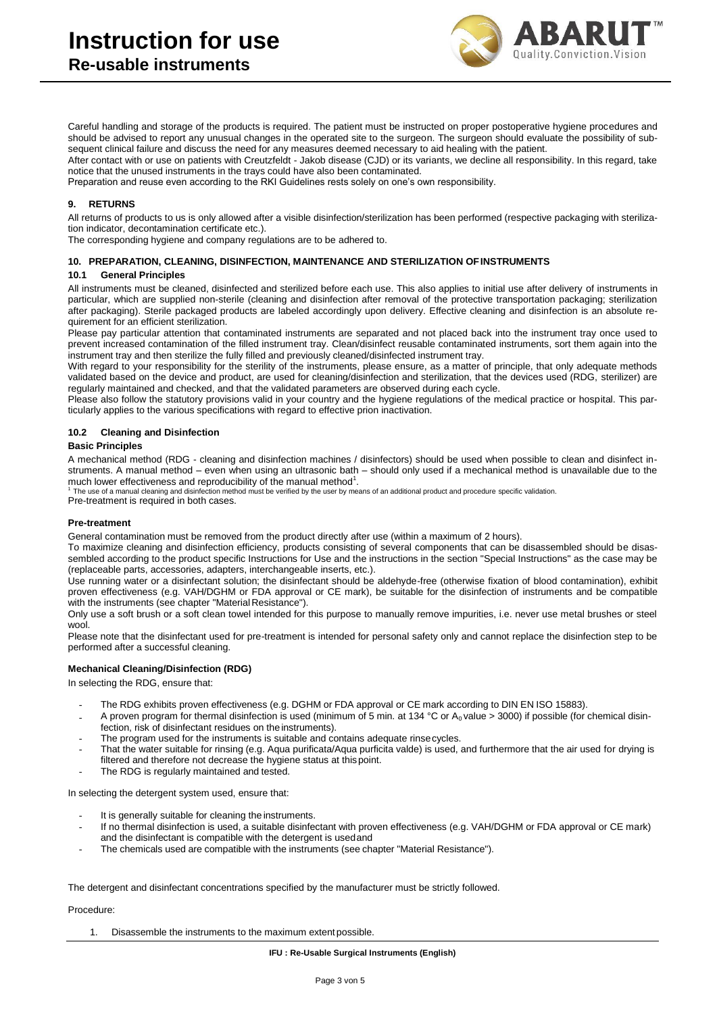

Careful handling and storage of the products is required. The patient must be instructed on proper postoperative hygiene procedures and should be advised to report any unusual changes in the operated site to the surgeon. The surgeon should evaluate the possibility of subsequent clinical failure and discuss the need for any measures deemed necessary to aid healing with the patient.

After contact with or use on patients with Creutzfeldt - Jakob disease (CJD) or its variants, we decline all responsibility. In this regard, take notice that the unused instruments in the trays could have also been contaminated.

Preparation and reuse even according to the RKI Guidelines rests solely on one's own responsibility.

#### **9. RETURNS**

All returns of products to us is only allowed after a visible disinfection/sterilization has been performed (respective packaging with sterilization indicator, decontamination certificate etc.).

The corresponding hygiene and company regulations are to be adhered to.

#### **10. PREPARATION, CLEANING, DISINFECTION, MAINTENANCE AND STERILIZATION OFINSTRUMENTS**

#### **10.1 General Principles**

All instruments must be cleaned, disinfected and sterilized before each use. This also applies to initial use after delivery of instruments in particular, which are supplied non-sterile (cleaning and disinfection after removal of the protective transportation packaging; sterilization after packaging). Sterile packaged products are labeled accordingly upon delivery. Effective cleaning and disinfection is an absolute requirement for an efficient sterilization.

Please pay particular attention that contaminated instruments are separated and not placed back into the instrument tray once used to prevent increased contamination of the filled instrument tray. Clean/disinfect reusable contaminated instruments, sort them again into the instrument tray and then sterilize the fully filled and previously cleaned/disinfected instrument tray.

With regard to your responsibility for the sterility of the instruments, please ensure, as a matter of principle, that only adequate methods validated based on the device and product, are used for cleaning/disinfection and sterilization, that the devices used (RDG, sterilizer) are regularly maintained and checked, and that the validated parameters are observed during each cycle.

Please also follow the statutory provisions valid in your country and the hygiene regulations of the medical practice or hospital. This particularly applies to the various specifications with regard to effective prion inactivation.

#### **10.2 Cleaning and Disinfection**

#### **Basic Principles**

A mechanical method (RDG - cleaning and disinfection machines / disinfectors) should be used when possible to clean and disinfect instruments. A manual method – even when using an ultrasonic bath – should only used if a mechanical method is unavailable due to the much lower effectiveness and reproducibility of the manual method $^1$ .

<sup>1</sup>The use of a manual cleaning and disinfection method must be verified by the user by means of an additional product and procedure specific validation.

Pre-treatment is required in both cases.

#### **Pre-treatment**

General contamination must be removed from the product directly after use (within a maximum of 2 hours).

To maximize cleaning and disinfection efficiency, products consisting of several components that can be disassembled should be disassembled according to the product specific Instructions for Use and the instructions in the section "Special Instructions" as the case may be (replaceable parts, accessories, adapters, interchangeable inserts, etc.).

Use running water or a disinfectant solution; the disinfectant should be aldehyde-free (otherwise fixation of blood contamination), exhibit proven effectiveness (e.g. VAH/DGHM or FDA approval or CE mark), be suitable for the disinfection of instruments and be compatible with the instruments (see chapter "Material Resistance").

Only use a soft brush or a soft clean towel intended for this purpose to manually remove impurities, i.e. never use metal brushes or steel wool.

Please note that the disinfectant used for pre-treatment is intended for personal safety only and cannot replace the disinfection step to be performed after a successful cleaning.

#### **Mechanical Cleaning/Disinfection (RDG)**

In selecting the RDG, ensure that:

- The RDG exhibits proven effectiveness (e.g. DGHM or FDA approval or CE mark according to DIN EN ISO 15883).
- A proven program for thermal disinfection is used (minimum of 5 min. at 134 °C or  $A_0$  value > 3000) if possible (for chemical disinfection, risk of disinfectant residues on the instruments).
- The program used for the instruments is suitable and contains adequate rinsecycles.
- That the water suitable for rinsing (e.g. Aqua purificata/Aqua purficita valde) is used, and furthermore that the air used for drying is filtered and therefore not decrease the hygiene status at thispoint.
- The RDG is regularly maintained and tested.

In selecting the detergent system used, ensure that:

- It is generally suitable for cleaning the instruments.
- If no thermal disinfection is used, a suitable disinfectant with proven effectiveness (e.g. VAH/DGHM or FDA approval or CE mark) and the disinfectant is compatible with the detergent is usedand
- The chemicals used are compatible with the instruments (see chapter "Material Resistance").

The detergent and disinfectant concentrations specified by the manufacturer must be strictly followed.

Procedure:

1. Disassemble the instruments to the maximum extent possible.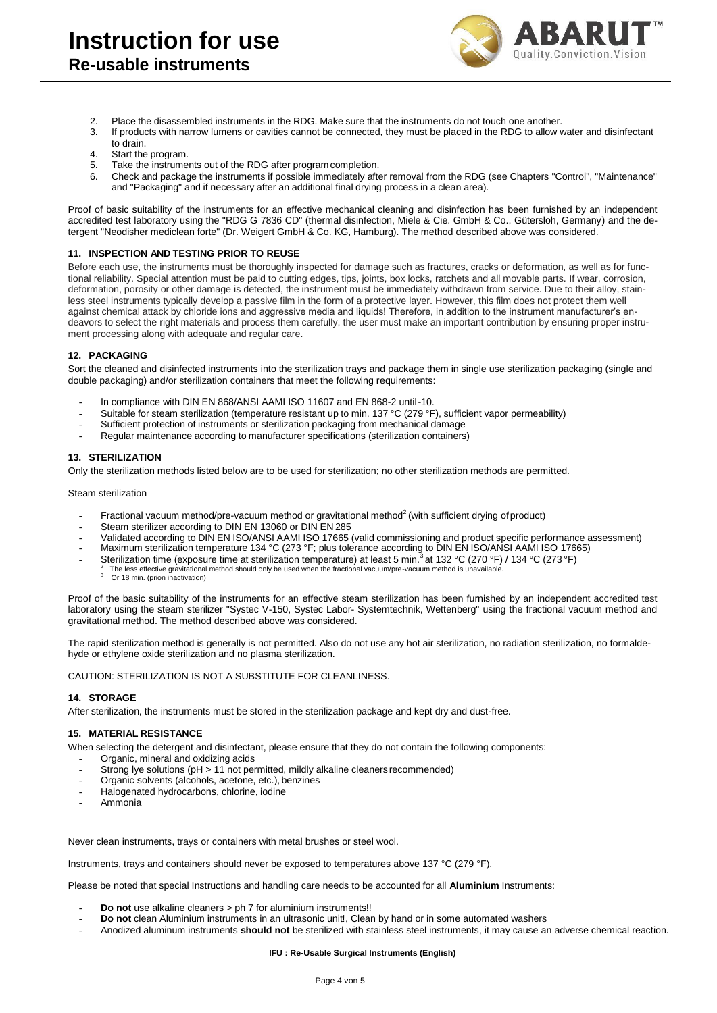

- 2. Place the disassembled instruments in the RDG. Make sure that the instruments do not touch one another.<br>3. If products with narrow lumens or cavities cannot be connected, they must be placed in the RDG to allow y
- If products with narrow lumens or cavities cannot be connected, they must be placed in the RDG to allow water and disinfectant to drain.
- 4. Start the program.<br>5. Take the instrume
- 5. Take the instruments out of the RDG after program completion.<br>6. Check and package the instruments if possible immediately after
- 6. Check and package the instruments if possible immediately after removal from the RDG (see Chapters "Control", "Maintenance" and "Packaging" and if necessary after an additional final drying process in a clean area).

Proof of basic suitability of the instruments for an effective mechanical cleaning and disinfection has been furnished by an independent accredited test laboratory using the "RDG G 7836 CD" (thermal disinfection, Miele & Cie. GmbH & Co., Gütersloh, Germany) and the detergent "Neodisher mediclean forte" (Dr. Weigert GmbH & Co. KG, Hamburg). The method described above was considered.

### **11. INSPECTION AND TESTING PRIOR TO REUSE**

Before each use, the instruments must be thoroughly inspected for damage such as fractures, cracks or deformation, as well as for functional reliability. Special attention must be paid to cutting edges, tips, joints, box locks, ratchets and all movable parts. If wear, corrosion, deformation, porosity or other damage is detected, the instrument must be immediately withdrawn from service. Due to their alloy, stainless steel instruments typically develop a passive film in the form of a protective layer. However, this film does not protect them well against chemical attack by chloride ions and aggressive media and liquids! Therefore, in addition to the instrument manufacturer's endeavors to select the right materials and process them carefully, the user must make an important contribution by ensuring proper instrument processing along with adequate and regular care.

#### **12. PACKAGING**

Sort the cleaned and disinfected instruments into the sterilization trays and package them in single use sterilization packaging (single and double packaging) and/or sterilization containers that meet the following requirements:

- In compliance with DIN EN 868/ANSI AAMI ISO 11607 and EN 868-2 until -10.
- Suitable for steam sterilization (temperature resistant up to min. 137 °C (279 °F), sufficient vapor permeability)
- Sufficient protection of instruments or sterilization packaging from mechanical damage
- Regular maintenance according to manufacturer specifications (sterilization containers)

# **13. STERILIZATION**

Only the sterilization methods listed below are to be used for sterilization; no other sterilization methods are permitted.

Steam sterilization

- Fractional vacuum method/pre-vacuum method or gravitational method $2$  (with sufficient drying of product)
- Steam sterilizer according to DIN EN 13060 or DIN EN 285
- Validated according to DIN EN ISO/ANSI AAMI ISO 17665 (valid commissioning and product specific performance assessment)
- 
- Maximum sterilization temperature 134 °C (273 °F; plus tolerance according to DIN EN ISO/ANSI AAMI ISO 17665)<br>- Sterilization time (exposure time at sterilization temperature) at least 5 min. <sup>3</sup>at 132 °C (270 °F) / 134
- $^2$  The less effective gravitational method should only be used when the fractional vacuum/pre-vacuum method is unavailable.<br>3 Or 18 min. (prion inactivation)
	-

Proof of the basic suitability of the instruments for an effective steam sterilization has been furnished by an independent accredited test laboratory using the steam sterilizer "Systec V-150, Systec Labor- Systemtechnik, Wettenberg" using the fractional vacuum method and gravitational method. The method described above was considered.

The rapid sterilization method is generally is not permitted. Also do not use any hot air sterilization, no radiation sterilization, no formaldehyde or ethylene oxide sterilization and no plasma sterilization.

CAUTION: STERILIZATION IS NOT A SUBSTITUTE FOR CLEANLINESS.

#### **14. STORAGE**

After sterilization, the instruments must be stored in the sterilization package and kept dry and dust-free.

# **15. MATERIAL RESISTANCE**

When selecting the detergent and disinfectant, please ensure that they do not contain the following components:

- Organic, mineral and oxidizing acids
- Strong Iye solutions (pH > 11 not permitted, mildly alkaline cleaners recommended)
- Organic solvents (alcohols, acetone, etc.), benzines
- Halogenated hydrocarbons, chlorine, iodine
- Ammonia

Never clean instruments, trays or containers with metal brushes or steel wool.

Instruments, trays and containers should never be exposed to temperatures above 137 °C (279 °F).

Please be noted that special Instructions and handling care needs to be accounted for all **Aluminium** Instruments:

- **Do not** use alkaline cleaners > ph 7 for aluminium instruments!!
- **Do not** clean Aluminium instruments in an ultrasonic unit!, Clean by hand or in some automated washers
- Anodized aluminum instruments **should not** be sterilized with stainless steel instruments, it may cause an adverse chemical reaction.

#### **IFU : Re-Usable Surgical Instruments (English)**